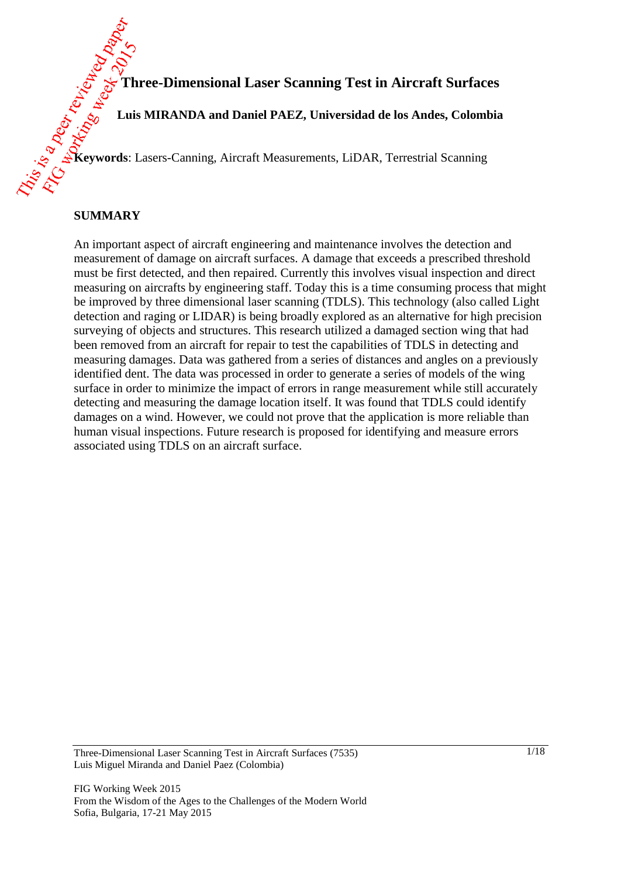**Three-Dimensional Laser Scanning Test in Aircraft Surfaces**

**Luis MIRANDA and Daniel PAEZ, Universidad de los Andes, Colombia**

**Keywords**: Lasers-Canning, Aircraft Measurements, LiDAR, Terrestrial Scanning

#### **SUMMARY**

An important aspect of aircraft engineering and maintenance involves the detection and measurement of damage on aircraft surfaces. A damage that exceeds a prescribed threshold must be first detected, and then repaired. Currently this involves visual inspection and direct measuring on aircrafts by engineering staff. Today this is a time consuming process that might be improved by three dimensional laser scanning (TDLS). This technology (also called Light detection and raging or LIDAR) is being broadly explored as an alternative for high precision surveying of objects and structures. This research utilized a damaged section wing that had been removed from an aircraft for repair to test the capabilities of TDLS in detecting and measuring damages. Data was gathered from a series of distances and angles on a previously identified dent. The data was processed in order to generate a series of models of the wing surface in order to minimize the impact of errors in range measurement while still accurately detecting and measuring the damage location itself. It was found that TDLS could identify damages on a wind. However, we could not prove that the application is more reliable than human visual inspections. Future research is proposed for identifying and measure errors associated using TDLS on an aircraft surface.

Three-Dimensional Laser Scanning Test in Aircraft Surfaces (7535) Luis Miguel Miranda and Daniel Paez (Colombia)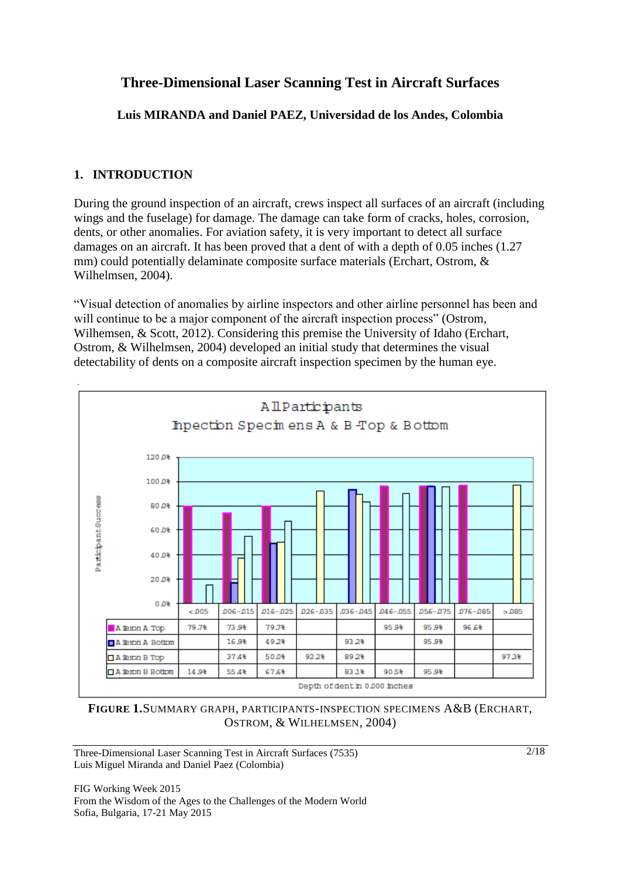# **Three-Dimensional Laser Scanning Test in Aircraft Surfaces**

**Luis MIRANDA and Daniel PAEZ, Universidad de los Andes, Colombia**

# **1. INTRODUCTION**

During the ground inspection of an aircraft, crews inspect all surfaces of an aircraft (including wings and the fuselage) for damage. The damage can take form of cracks, holes, corrosion, dents, or other anomalies. For aviation safety, it is very important to detect all surface damages on an aircraft. It has been proved that a dent of with a depth of 0.05 inches (1.27 mm) could potentially delaminate composite surface materials (Erchart, Ostrom, & Wilhelmsen, 2004).

"Visual detection of anomalies by airline inspectors and other airline personnel has been and will continue to be a major component of the aircraft inspection process" (Ostrom, Wilhemsen, & Scott, 2012). Considering this premise the University of Idaho (Erchart, Ostrom, & Wilhelmsen, 2004) developed an initial study that determines the visual detectability of dents on a composite aircraft inspection specimen by the human eye.



**FIGURE 1.**SUMMARY GRAPH, PARTICIPANTS-INSPECTION SPECIMENS A&B (ERCHART, OSTROM, & WILHELMSEN, 2004)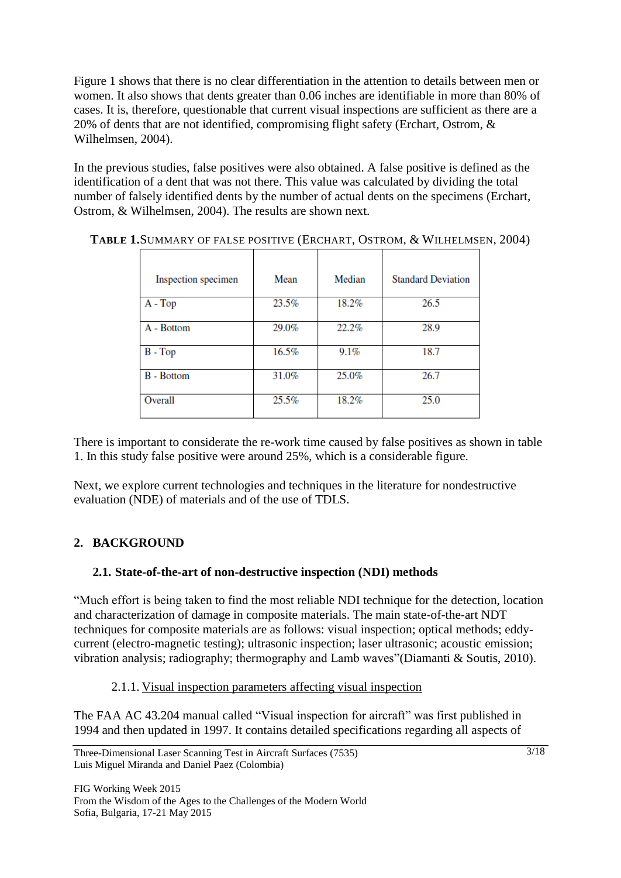Figure 1 shows that there is no clear differentiation in the attention to details between men or women. It also shows that dents greater than 0.06 inches are identifiable in more than 80% of cases. It is, therefore, questionable that current visual inspections are sufficient as there are a 20% of dents that are not identified, compromising flight safety (Erchart, Ostrom, & Wilhelmsen, 2004).

In the previous studies, false positives were also obtained. A false positive is defined as the identification of a dent that was not there. This value was calculated by dividing the total number of falsely identified dents by the number of actual dents on the specimens (Erchart, Ostrom, & Wilhelmsen, 2004). The results are shown next.

| Inspection specimen | Mean  | Median | <b>Standard Deviation</b> |
|---------------------|-------|--------|---------------------------|
| $A - Top$           | 23.5% | 18.2%  | 26.5                      |
| A - Bottom          | 29.0% | 22.2%  | 28.9                      |
| $B - Top$           | 16.5% | 9.1%   | 18.7                      |
| <b>B</b> - Bottom   | 31.0% | 25.0%  | 26.7                      |
| Overall             | 25.5% | 18.2%  | 25.0                      |

**TABLE 1.**SUMMARY OF FALSE POSITIVE (ERCHART, OSTROM, & WILHELMSEN, 2004)

There is important to considerate the re-work time caused by false positives as shown in table 1. In this study false positive were around 25%, which is a considerable figure.

Next, we explore current technologies and techniques in the literature for nondestructive evaluation (NDE) of materials and of the use of TDLS.

## **2. BACKGROUND**

#### **2.1. State-of-the-art of non-destructive inspection (NDI) methods**

"Much effort is being taken to find the most reliable NDI technique for the detection, location and characterization of damage in composite materials. The main state-of-the-art NDT techniques for composite materials are as follows: visual inspection; optical methods; eddycurrent (electro-magnetic testing); ultrasonic inspection; laser ultrasonic; acoustic emission; vibration analysis; radiography; thermography and Lamb waves"(Diamanti & Soutis, 2010).

#### 2.1.1. Visual inspection parameters affecting visual inspection

The FAA AC 43.204 manual called "Visual inspection for aircraft" was first published in 1994 and then updated in 1997. It contains detailed specifications regarding all aspects of

Three-Dimensional Laser Scanning Test in Aircraft Surfaces (7535) Luis Miguel Miranda and Daniel Paez (Colombia)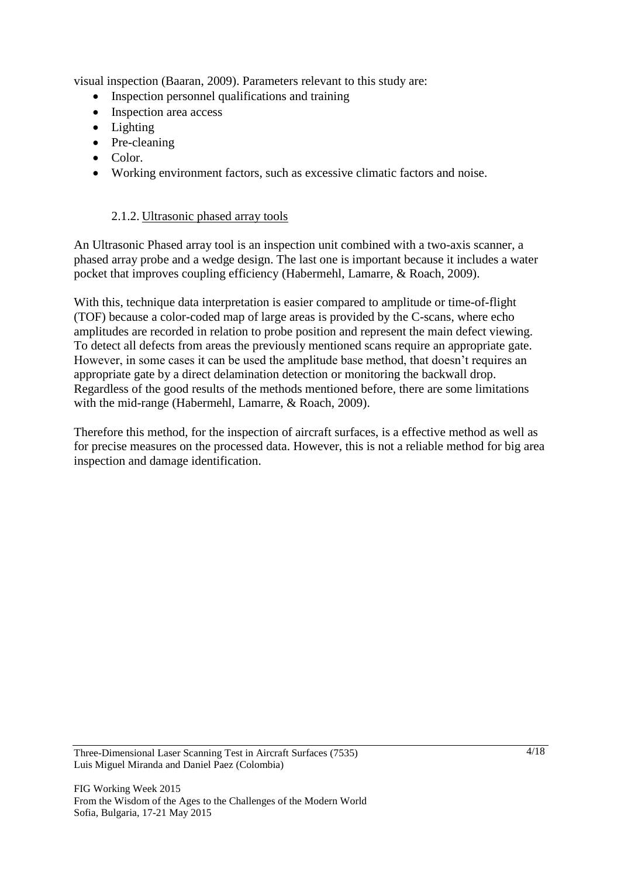visual inspection (Baaran, 2009). Parameters relevant to this study are:

- Inspection personnel qualifications and training
- Inspection area access
- Lighting
- Pre-cleaning
- Color.
- Working environment factors, such as excessive climatic factors and noise.

#### 2.1.2. Ultrasonic phased array tools

An Ultrasonic Phased array tool is an inspection unit combined with a two-axis scanner, a phased array probe and a wedge design. The last one is important because it includes a water pocket that improves coupling efficiency (Habermehl, Lamarre, & Roach, 2009).

With this, technique data interpretation is easier compared to amplitude or time-of-flight (TOF) because a color-coded map of large areas is provided by the C-scans, where echo amplitudes are recorded in relation to probe position and represent the main defect viewing. To detect all defects from areas the previously mentioned scans require an appropriate gate. However, in some cases it can be used the amplitude base method, that doesn't requires an appropriate gate by a direct delamination detection or monitoring the backwall drop. Regardless of the good results of the methods mentioned before, there are some limitations with the mid-range (Habermehl, Lamarre, & Roach, 2009).

Therefore this method, for the inspection of aircraft surfaces, is a effective method as well as for precise measures on the processed data. However, this is not a reliable method for big area inspection and damage identification.

Three-Dimensional Laser Scanning Test in Aircraft Surfaces (7535) Luis Miguel Miranda and Daniel Paez (Colombia)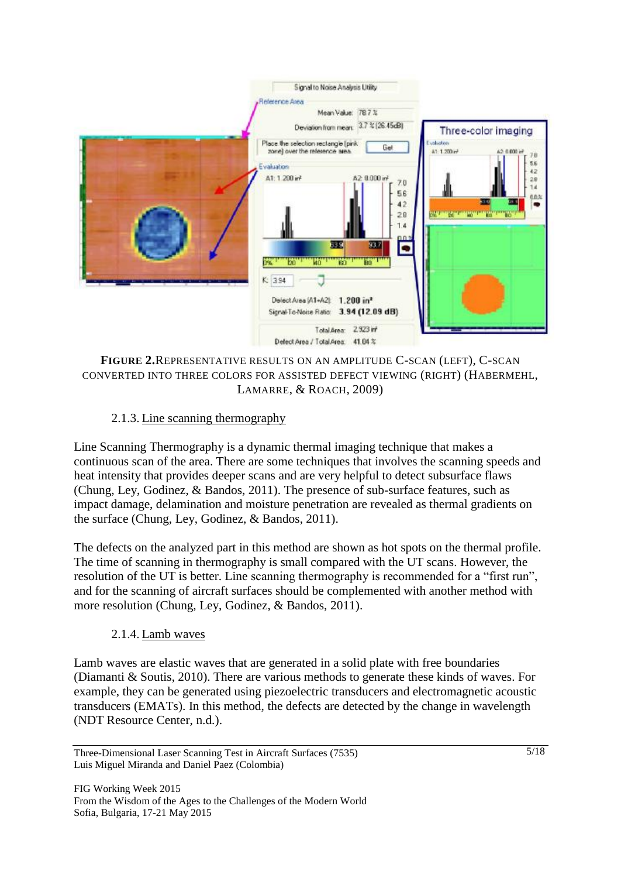

**FIGURE 2.**REPRESENTATIVE RESULTS ON AN AMPLITUDE C-SCAN (LEFT), C-SCAN CONVERTED INTO THREE COLORS FOR ASSISTED DEFECT VIEWING (RIGHT) (HABERMEHL, LAMARRE, & ROACH, 2009)

#### 2.1.3. Line scanning thermography

Line Scanning Thermography is a dynamic thermal imaging technique that makes a continuous scan of the area. There are some techniques that involves the scanning speeds and heat intensity that provides deeper scans and are very helpful to detect subsurface flaws (Chung, Ley, Godinez, & Bandos, 2011). The presence of sub-surface features, such as impact damage, delamination and moisture penetration are revealed as thermal gradients on the surface (Chung, Ley, Godinez, & Bandos, 2011).

The defects on the analyzed part in this method are shown as hot spots on the thermal profile. The time of scanning in thermography is small compared with the UT scans. However, the resolution of the UT is better. Line scanning thermography is recommended for a "first run", and for the scanning of aircraft surfaces should be complemented with another method with more resolution (Chung, Ley, Godinez, & Bandos, 2011).

#### 2.1.4. Lamb waves

Lamb waves are elastic waves that are generated in a solid plate with free boundaries (Diamanti & Soutis, 2010). There are various methods to generate these kinds of waves. For example, they can be generated using piezoelectric transducers and electromagnetic acoustic transducers (EMATs). In this method, the defects are detected by the change in wavelength (NDT Resource Center, n.d.).

Three-Dimensional Laser Scanning Test in Aircraft Surfaces (7535) Luis Miguel Miranda and Daniel Paez (Colombia)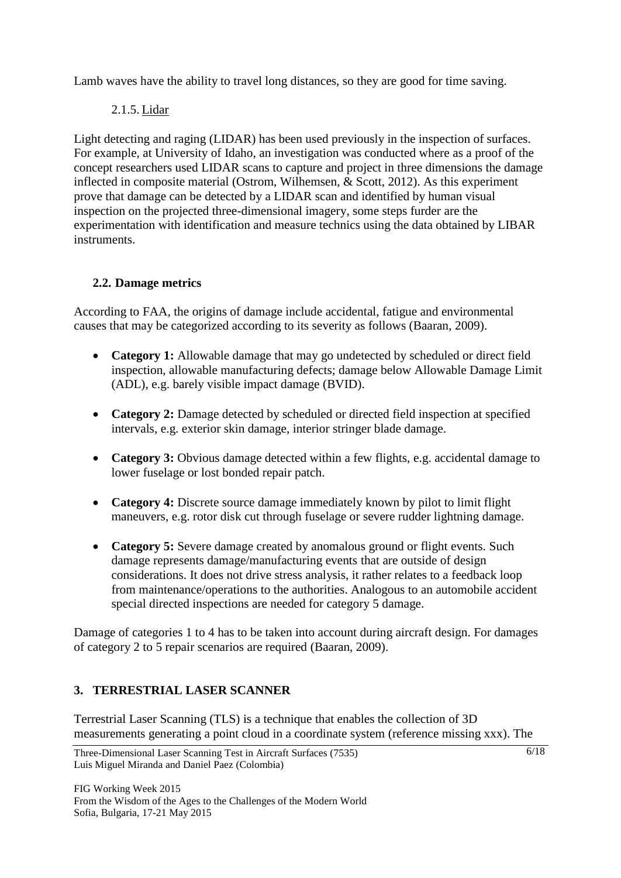Lamb waves have the ability to travel long distances, so they are good for time saving.

## 2.1.5. Lidar

Light detecting and raging (LIDAR) has been used previously in the inspection of surfaces. For example, at University of Idaho, an investigation was conducted where as a proof of the concept researchers used LIDAR scans to capture and project in three dimensions the damage inflected in composite material (Ostrom, Wilhemsen, & Scott, 2012). As this experiment prove that damage can be detected by a LIDAR scan and identified by human visual inspection on the projected three-dimensional imagery, some steps furder are the experimentation with identification and measure technics using the data obtained by LIBAR instruments.

## **2.2. Damage metrics**

According to FAA, the origins of damage include accidental, fatigue and environmental causes that may be categorized according to its severity as follows (Baaran, 2009).

- **Category 1:** Allowable damage that may go undetected by scheduled or direct field inspection, allowable manufacturing defects; damage below Allowable Damage Limit (ADL), e.g. barely visible impact damage (BVID).
- **Category 2:** Damage detected by scheduled or directed field inspection at specified intervals, e.g. exterior skin damage, interior stringer blade damage.
- **Category 3:** Obvious damage detected within a few flights, e.g. accidental damage to lower fuselage or lost bonded repair patch.
- **Category 4:** Discrete source damage immediately known by pilot to limit flight maneuvers, e.g. rotor disk cut through fuselage or severe rudder lightning damage.
- **Category 5:** Severe damage created by anomalous ground or flight events. Such damage represents damage/manufacturing events that are outside of design considerations. It does not drive stress analysis, it rather relates to a feedback loop from maintenance/operations to the authorities. Analogous to an automobile accident special directed inspections are needed for category 5 damage.

Damage of categories 1 to 4 has to be taken into account during aircraft design. For damages of category 2 to 5 repair scenarios are required (Baaran, 2009).

## **3. TERRESTRIAL LASER SCANNER**

Terrestrial Laser Scanning (TLS) is a technique that enables the collection of 3D measurements generating a point cloud in a coordinate system (reference missing xxx). The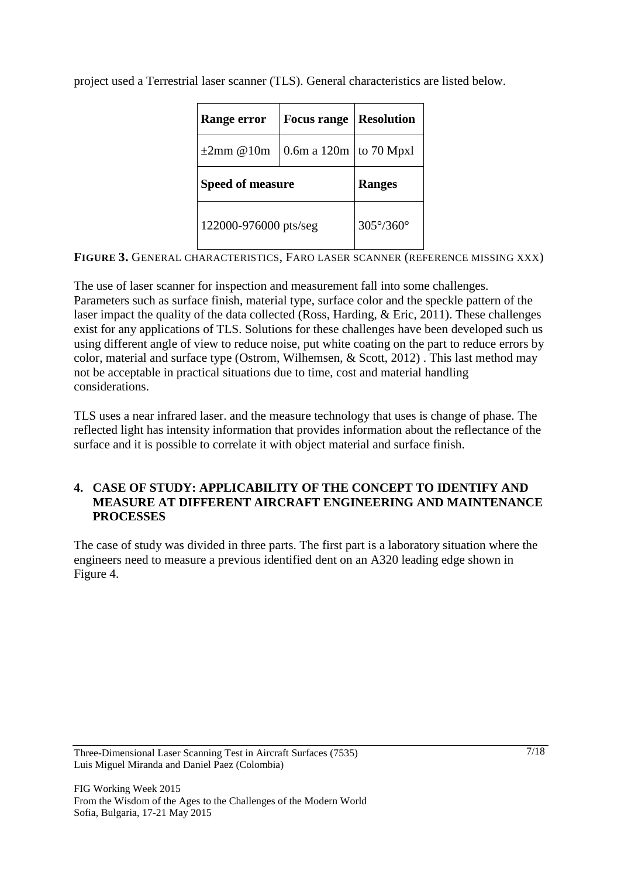project used a Terrestrial laser scanner (TLS). General characteristics are listed below.

| <b>Focus range</b><br><b>Range error</b> |                                        | <b>Resolution</b> |  |
|------------------------------------------|----------------------------------------|-------------------|--|
| $\pm 2$ mm @10m                          | $\vert$ 0.6m a 120m $\vert$ to 70 Mpxl |                   |  |
|                                          |                                        |                   |  |
| <b>Speed of measure</b>                  |                                        | <b>Ranges</b>     |  |

**FIGURE 3.** GENERAL CHARACTERISTICS, FARO LASER SCANNER (REFERENCE MISSING XXX)

The use of laser scanner for inspection and measurement fall into some challenges. Parameters such as surface finish, material type, surface color and the speckle pattern of the laser impact the quality of the data collected (Ross, Harding, & Eric, 2011). These challenges exist for any applications of TLS. Solutions for these challenges have been developed such us using different angle of view to reduce noise, put white coating on the part to reduce errors by color, material and surface type (Ostrom, Wilhemsen, & Scott, 2012) . This last method may not be acceptable in practical situations due to time, cost and material handling considerations.

TLS uses a near infrared laser. and the measure technology that uses is change of phase. The reflected light has intensity information that provides information about the reflectance of the surface and it is possible to correlate it with object material and surface finish.

### **4. CASE OF STUDY: APPLICABILITY OF THE CONCEPT TO IDENTIFY AND MEASURE AT DIFFERENT AIRCRAFT ENGINEERING AND MAINTENANCE PROCESSES**

The case of study was divided in three parts. The first part is a laboratory situation where the engineers need to measure a previous identified dent on an A320 leading edge shown in Figure 4.

Three-Dimensional Laser Scanning Test in Aircraft Surfaces (7535) Luis Miguel Miranda and Daniel Paez (Colombia)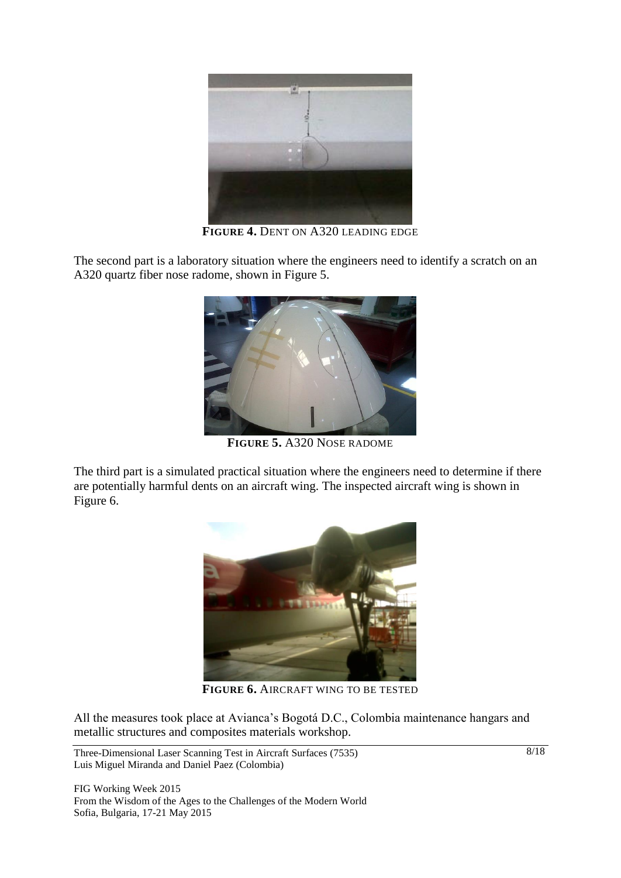

**FIGURE 4.** DENT ON A320 LEADING EDGE

The second part is a laboratory situation where the engineers need to identify a scratch on an A320 quartz fiber nose radome, shown in Figure 5.



**FIGURE 5.** A320 NOSE RADOME

The third part is a simulated practical situation where the engineers need to determine if there are potentially harmful dents on an aircraft wing. The inspected aircraft wing is shown in Figure 6.



**FIGURE 6.** AIRCRAFT WING TO BE TESTED

All the measures took place at Avianca's Bogotá D.C., Colombia maintenance hangars and metallic structures and composites materials workshop.

Three-Dimensional Laser Scanning Test in Aircraft Surfaces (7535) Luis Miguel Miranda and Daniel Paez (Colombia)

FIG Working Week 2015 From the Wisdom of the Ages to the Challenges of the Modern World Sofia, Bulgaria, 17-21 May 2015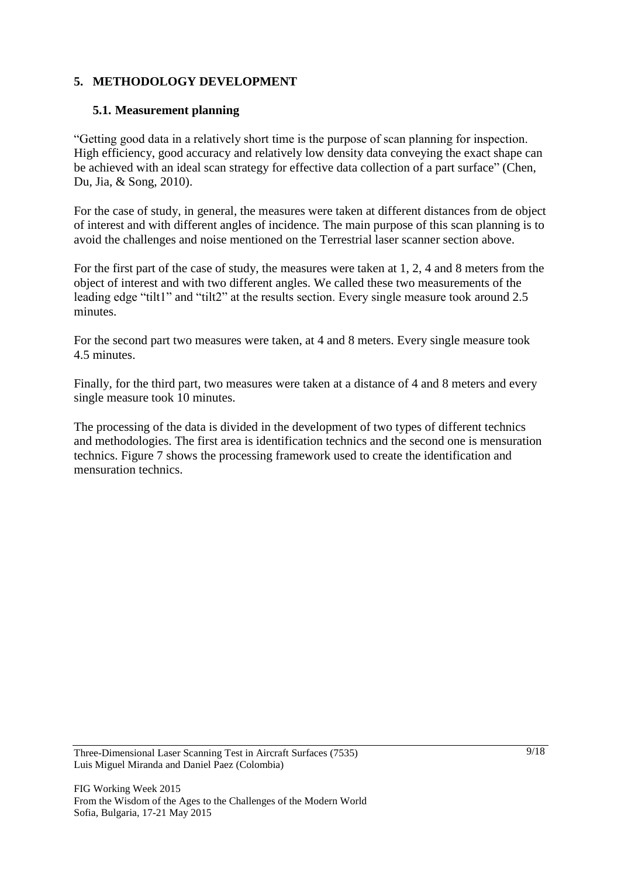### **5. METHODOLOGY DEVELOPMENT**

#### **5.1. Measurement planning**

"Getting good data in a relatively short time is the purpose of scan planning for inspection. High efficiency, good accuracy and relatively low density data conveying the exact shape can be achieved with an ideal scan strategy for effective data collection of a part surface" (Chen, Du, Jia, & Song, 2010).

For the case of study, in general, the measures were taken at different distances from de object of interest and with different angles of incidence. The main purpose of this scan planning is to avoid the challenges and noise mentioned on the Terrestrial laser scanner section above.

For the first part of the case of study, the measures were taken at 1, 2, 4 and 8 meters from the object of interest and with two different angles. We called these two measurements of the leading edge "tilt1" and "tilt2" at the results section. Every single measure took around 2.5 minutes.

For the second part two measures were taken, at 4 and 8 meters. Every single measure took 4.5 minutes.

Finally, for the third part, two measures were taken at a distance of 4 and 8 meters and every single measure took 10 minutes.

The processing of the data is divided in the development of two types of different technics and methodologies. The first area is identification technics and the second one is mensuration technics. Figure 7 shows the processing framework used to create the identification and mensuration technics.

Three-Dimensional Laser Scanning Test in Aircraft Surfaces (7535) Luis Miguel Miranda and Daniel Paez (Colombia)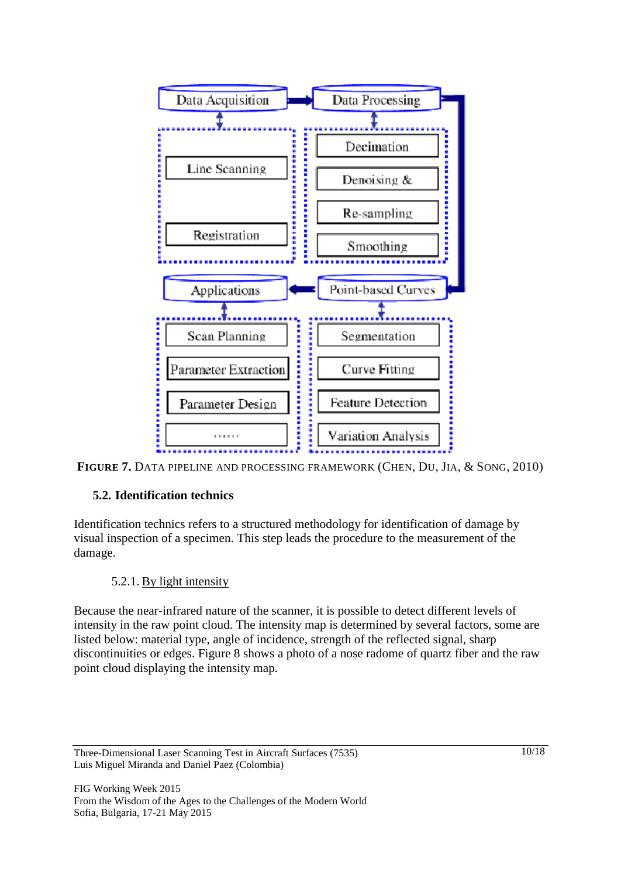



#### **5.2. Identification technics**

Identification technics refers to a structured methodology for identification of damage by visual inspection of a specimen. This step leads the procedure to the measurement of the damage.

#### 5.2.1. By light intensity

Because the near-infrared nature of the scanner, it is possible to detect different levels of intensity in the raw point cloud. The intensity map is determined by several factors, some are listed below: material type, angle of incidence, strength of the reflected signal, sharp discontinuities or edges. Figure 8 shows a photo of a nose radome of quartz fiber and the raw point cloud displaying the intensity map.

Three-Dimensional Laser Scanning Test in Aircraft Surfaces (7535) Luis Miguel Miranda and Daniel Paez (Colombia)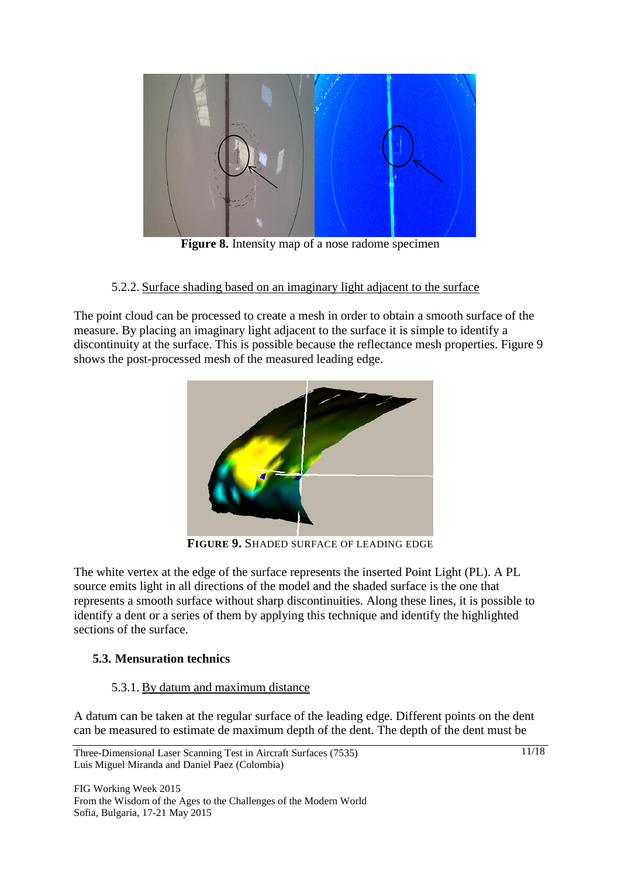

**Figure 8.** Intensity map of a nose radome specimen

5.2.2. Surface shading based on an imaginary light adjacent to the surface

The point cloud can be processed to create a mesh in order to obtain a smooth surface of the measure. By placing an imaginary light adjacent to the surface it is simple to identify a discontinuity at the surface. This is possible because the reflectance mesh properties. Figure 9 shows the post-processed mesh of the measured leading edge.



**FIGURE 9.** SHADED SURFACE OF LEADING EDGE

The white vertex at the edge of the surface represents the inserted Point Light (PL). A PL source emits light in all directions of the model and the shaded surface is the one that represents a smooth surface without sharp discontinuities. Along these lines, it is possible to identify a dent or a series of them by applying this technique and identify the highlighted sections of the surface.

## **5.3. Mensuration technics**

#### 5.3.1. By datum and maximum distance

A datum can be taken at the regular surface of the leading edge. Different points on the dent can be measured to estimate de maximum depth of the dent. The depth of the dent must be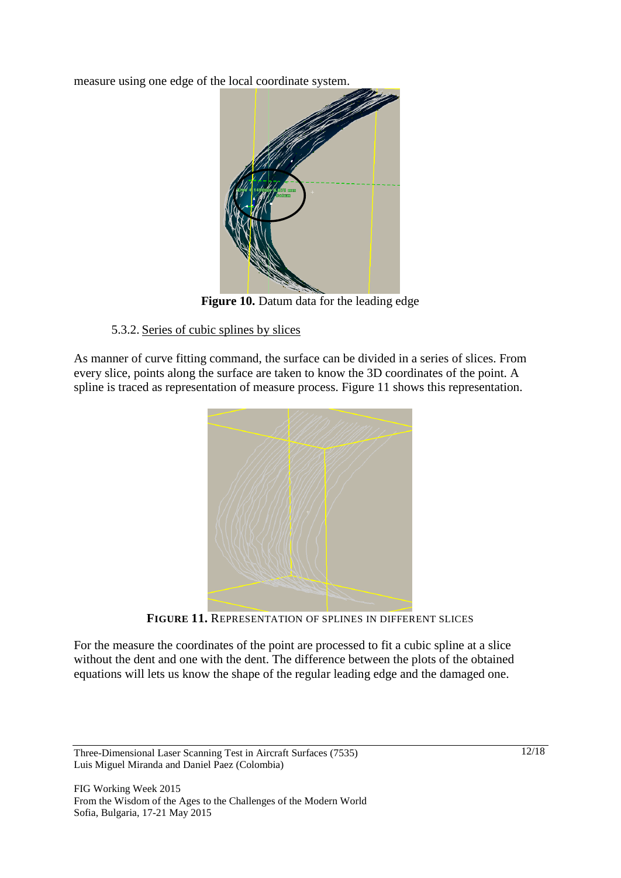measure using one edge of the local coordinate system.



**Figure 10.** Datum data for the leading edge

### 5.3.2. Series of cubic splines by slices

As manner of curve fitting command, the surface can be divided in a series of slices. From every slice, points along the surface are taken to know the 3D coordinates of the point. A spline is traced as representation of measure process. Figure 11 shows this representation.



**FIGURE 11.** REPRESENTATION OF SPLINES IN DIFFERENT SLICES

For the measure the coordinates of the point are processed to fit a cubic spline at a slice without the dent and one with the dent. The difference between the plots of the obtained equations will lets us know the shape of the regular leading edge and the damaged one.

Three-Dimensional Laser Scanning Test in Aircraft Surfaces (7535) Luis Miguel Miranda and Daniel Paez (Colombia)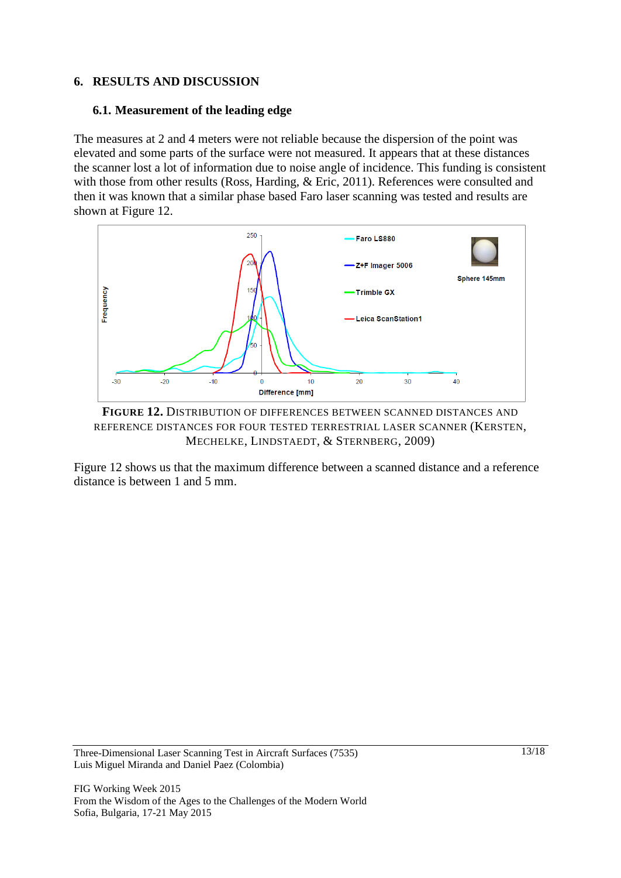#### **6. RESULTS AND DISCUSSION**

#### **6.1. Measurement of the leading edge**

The measures at 2 and 4 meters were not reliable because the dispersion of the point was elevated and some parts of the surface were not measured. It appears that at these distances the scanner lost a lot of information due to noise angle of incidence. This funding is consistent with those from other results (Ross, Harding, & Eric, 2011). References were consulted and then it was known that a similar phase based Faro laser scanning was tested and results are shown at Figure 12.



**FIGURE 12.** DISTRIBUTION OF DIFFERENCES BETWEEN SCANNED DISTANCES AND REFERENCE DISTANCES FOR FOUR TESTED TERRESTRIAL LASER SCANNER (KERSTEN, MECHELKE, LINDSTAEDT, & STERNBERG, 2009)

Figure 12 shows us that the maximum difference between a scanned distance and a reference distance is between 1 and 5 mm.

Three-Dimensional Laser Scanning Test in Aircraft Surfaces (7535) Luis Miguel Miranda and Daniel Paez (Colombia)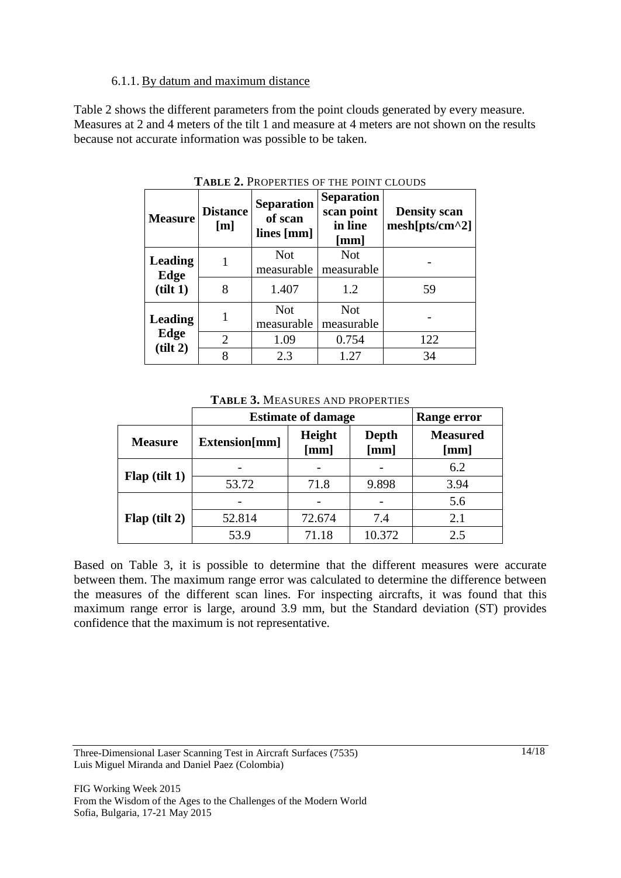#### 6.1.1. By datum and maximum distance

Table 2 shows the different parameters from the point clouds generated by every measure. Measures at 2 and 4 meters of the tilt 1 and measure at 4 meters are not shown on the results because not accurate information was possible to be taken.

| <b>Measure</b>         | <b>Distance</b><br>[m] | <b>Separation</b><br>of scan<br>lines [mm] | <b>Separation</b><br>scan point<br>in line<br>$\lceil$ mm $\rceil$ | <b>Density scan</b><br>$mesh[pts/cm^2]$ |
|------------------------|------------------------|--------------------------------------------|--------------------------------------------------------------------|-----------------------------------------|
| <b>Leading</b><br>Edge |                        | <b>Not</b><br>measurable                   | <b>Not</b><br>measurable                                           |                                         |
| (tilt 1)               | 8                      | 1.407                                      | 1.2                                                                | 59                                      |
| <b>Leading</b>         |                        | <b>Not</b><br>measurable                   | <b>Not</b><br>measurable                                           |                                         |
| Edge                   | 2                      | 1.09                                       | 0.754                                                              | 122                                     |
| (tilt 2)               | 8                      | 2.3                                        | 1.27                                                               | 34                                      |

**TABLE 2.** PROPERTIES OF THE POINT CLOUDS

**TABLE 3.** MEASURES AND PROPERTIES

|                 | <b>Estimate of damage</b> | Range error    |               |                         |
|-----------------|---------------------------|----------------|---------------|-------------------------|
| <b>Measure</b>  | Extension[mm]             | Height<br>[mm] | Depth<br>[mm] | <b>Measured</b><br>[mm] |
| $Flap$ (tilt 1) |                           |                |               | 6.2                     |
|                 | 53.72                     | 71.8           | 9.898         | 3.94                    |
| Flag (tilt 2)   |                           |                |               | 5.6                     |
|                 | 52.814                    | 72.674         | 7.4           | 2.1                     |
|                 | 53.9                      | 71.18          | 10.372        | 2.5                     |

Based on Table 3, it is possible to determine that the different measures were accurate between them. The maximum range error was calculated to determine the difference between the measures of the different scan lines. For inspecting aircrafts, it was found that this maximum range error is large, around 3.9 mm, but the Standard deviation (ST) provides confidence that the maximum is not representative.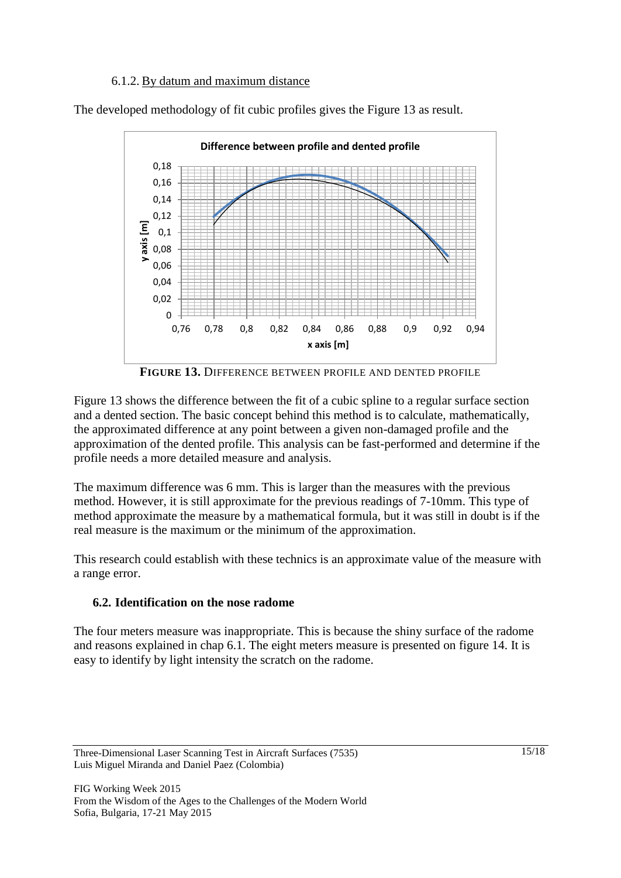#### 6.1.2. By datum and maximum distance

The developed methodology of fit cubic profiles gives the Figure 13 as result.



**FIGURE 13.** DIFFERENCE BETWEEN PROFILE AND DENTED PROFILE

Figure 13 shows the difference between the fit of a cubic spline to a regular surface section and a dented section. The basic concept behind this method is to calculate, mathematically, the approximated difference at any point between a given non-damaged profile and the approximation of the dented profile. This analysis can be fast-performed and determine if the profile needs a more detailed measure and analysis.

The maximum difference was 6 mm. This is larger than the measures with the previous method. However, it is still approximate for the previous readings of 7-10mm. This type of method approximate the measure by a mathematical formula, but it was still in doubt is if the real measure is the maximum or the minimum of the approximation.

This research could establish with these technics is an approximate value of the measure with a range error.

## **6.2. Identification on the nose radome**

The four meters measure was inappropriate. This is because the shiny surface of the radome and reasons explained in chap 6.1. The eight meters measure is presented on figure 14. It is easy to identify by light intensity the scratch on the radome.

Three-Dimensional Laser Scanning Test in Aircraft Surfaces (7535) Luis Miguel Miranda and Daniel Paez (Colombia)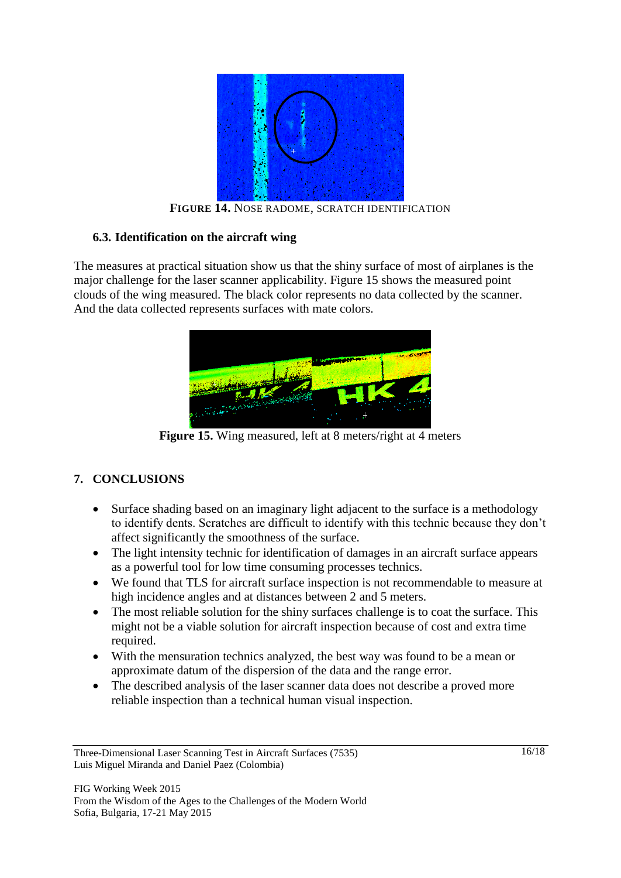

**FIGURE 14.** NOSE RADOME, SCRATCH IDENTIFICATION

#### **6.3. Identification on the aircraft wing**

The measures at practical situation show us that the shiny surface of most of airplanes is the major challenge for the laser scanner applicability. Figure 15 shows the measured point clouds of the wing measured. The black color represents no data collected by the scanner. And the data collected represents surfaces with mate colors.



**Figure 15.** Wing measured, left at 8 meters/right at 4 meters

## **7. CONCLUSIONS**

- Surface shading based on an imaginary light adjacent to the surface is a methodology to identify dents. Scratches are difficult to identify with this technic because they don't affect significantly the smoothness of the surface.
- The light intensity technic for identification of damages in an aircraft surface appears as a powerful tool for low time consuming processes technics.
- We found that TLS for aircraft surface inspection is not recommendable to measure at high incidence angles and at distances between 2 and 5 meters.
- The most reliable solution for the shiny surfaces challenge is to coat the surface. This might not be a viable solution for aircraft inspection because of cost and extra time required.
- With the mensuration technics analyzed, the best way was found to be a mean or approximate datum of the dispersion of the data and the range error.
- The described analysis of the laser scanner data does not describe a proved more reliable inspection than a technical human visual inspection.

Three-Dimensional Laser Scanning Test in Aircraft Surfaces (7535) Luis Miguel Miranda and Daniel Paez (Colombia)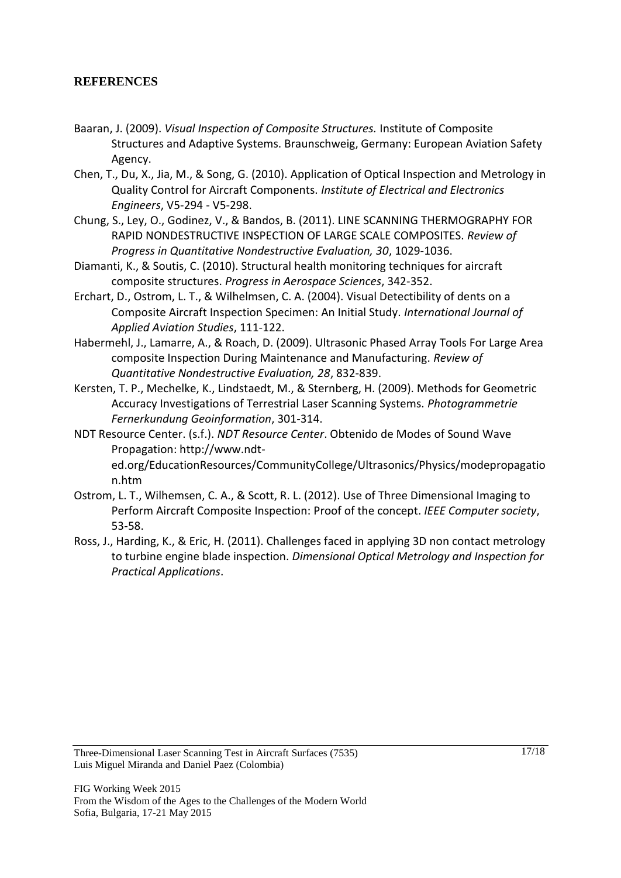#### **REFERENCES**

- Baaran, J. (2009). *Visual Inspection of Composite Structures.* Institute of Composite Structures and Adaptive Systems. Braunschweig, Germany: European Aviation Safety Agency.
- Chen, T., Du, X., Jia, M., & Song, G. (2010). Application of Optical Inspection and Metrology in Quality Control for Aircraft Components. *Institute of Electrical and Electronics Engineers*, V5-294 - V5-298.
- Chung, S., Ley, O., Godinez, V., & Bandos, B. (2011). LINE SCANNING THERMOGRAPHY FOR RAPID NONDESTRUCTIVE INSPECTION OF LARGE SCALE COMPOSITES. *Review of Progress in Quantitative Nondestructive Evaluation, 30*, 1029-1036.
- Diamanti, K., & Soutis, C. (2010). Structural health monitoring techniques for aircraft composite structures. *Progress in Aerospace Sciences*, 342-352.
- Erchart, D., Ostrom, L. T., & Wilhelmsen, C. A. (2004). Visual Detectibility of dents on a Composite Aircraft Inspection Specimen: An Initial Study. *International Journal of Applied Aviation Studies*, 111-122.
- Habermehl, J., Lamarre, A., & Roach, D. (2009). Ultrasonic Phased Array Tools For Large Area composite Inspection During Maintenance and Manufacturing. *Review of Quantitative Nondestructive Evaluation, 28*, 832-839.
- Kersten, T. P., Mechelke, K., Lindstaedt, M., & Sternberg, H. (2009). Methods for Geometric Accuracy Investigations of Terrestrial Laser Scanning Systems. *Photogrammetrie Fernerkundung Geoinformation*, 301-314.
- NDT Resource Center. (s.f.). *NDT Resource Center*. Obtenido de Modes of Sound Wave Propagation: http://www.ndted.org/EducationResources/CommunityCollege/Ultrasonics/Physics/modepropagatio n.htm
- Ostrom, L. T., Wilhemsen, C. A., & Scott, R. L. (2012). Use of Three Dimensional Imaging to Perform Aircraft Composite Inspection: Proof of the concept. *IEEE Computer society*, 53-58.
- Ross, J., Harding, K., & Eric, H. (2011). Challenges faced in applying 3D non contact metrology to turbine engine blade inspection. *Dimensional Optical Metrology and Inspection for Practical Applications*.

Three-Dimensional Laser Scanning Test in Aircraft Surfaces (7535) Luis Miguel Miranda and Daniel Paez (Colombia)